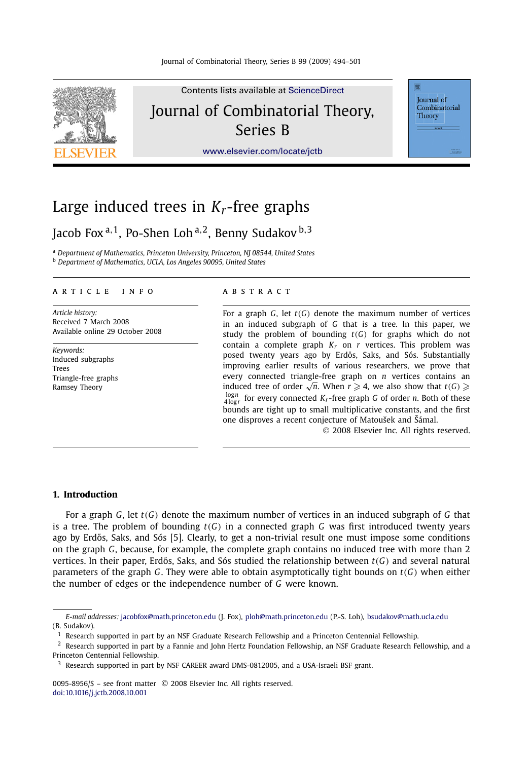

Contents lists available at [ScienceDirect](http://www.ScienceDirect.com/) Journal of Combinatorial Theory, Series B

**Iournal** of Combinatorial Theory

### [www.elsevier.com/locate/jctb](http://www.elsevier.com/locate/jctb)

# Large induced trees in *Kr*-free graphs

## Jacob Fox <sup>a</sup>*,*1, Po-Shen Loh <sup>a</sup>*,*2, Benny Sudakov <sup>b</sup>*,*<sup>3</sup>

<sup>a</sup> *Department of Mathematics, Princeton University, Princeton, NJ 08544, United States* <sup>b</sup> *Department of Mathematics, UCLA, Los Angeles 90095, United States*

#### article info abstract

*Article history:* Received 7 March 2008 Available online 29 October 2008

*Keywords:* Induced subgraphs Trees Triangle-free graphs Ramsey Theory

For a graph *G*, let *t(G)* denote the maximum number of vertices in an induced subgraph of *G* that is a tree. In this paper, we study the problem of bounding  $t(G)$  for graphs which do not contain a complete graph  $K_r$  on  $r$  vertices. This problem was posed twenty years ago by Erdős, Saks, and Sós. Substantially improving earlier results of various researchers, we prove that every connected triangle-free graph on *n* vertices contains an  $\mu$  connected triangle-fiee graph on *n* vertices contains an induced tree of order  $\sqrt{n}$ . When  $r \geq 4$ , we also show that  $t(G) \geq 4$  $\frac{\log n}{4 \log r}$  for every connected  $K_r$ -free graph *G* of order *n*. Both of these bounds are tight up to small multiplicative constants, and the first one disproves a recent conjecture of Matoušek and Šámal.

© 2008 Elsevier Inc. All rights reserved.

#### **1. Introduction**

For a graph *G*, let *t(G)* denote the maximum number of vertices in an induced subgraph of *G* that is a tree. The problem of bounding *t(G)* in a connected graph *G* was first introduced twenty years ago by Erdős, Saks, and Sós [5]. Clearly, to get a non-trivial result one must impose some conditions on the graph *G*, because, for example, the complete graph contains no induced tree with more than 2 vertices. In their paper, Erdős, Saks, and Sós studied the relationship between  $t(G)$  and several natural parameters of the graph *G*. They were able to obtain asymptotically tight bounds on *t(G)* when either the number of edges or the independence number of *G* were known.

0095-8956/\$ – see front matter © 2008 Elsevier Inc. All rights reserved. [doi:10.1016/j.jctb.2008.10.001](http://dx.doi.org/10.1016/j.jctb.2008.10.001)

*E-mail addresses:* [jacobfox@math.princeton.edu](mailto:jacobfox@math.princeton.edu) (J. Fox), [ploh@math.princeton.edu](mailto:ploh@math.princeton.edu) (P.-S. Loh), [bsudakov@math.ucla.edu](mailto:bsudakov@math.ucla.edu) (B. Sudakov).

 $<sup>1</sup>$  Research supported in part by an NSF Graduate Research Fellowship and a Princeton Centennial Fellowship.</sup>

 $2$  Research supported in part by a Fannie and John Hertz Foundation Fellowship, an NSF Graduate Research Fellowship, and a Princeton Centennial Fellowship.

<sup>&</sup>lt;sup>3</sup> Research supported in part by NSF CAREER award DMS-0812005, and a USA-Israeli BSF grant.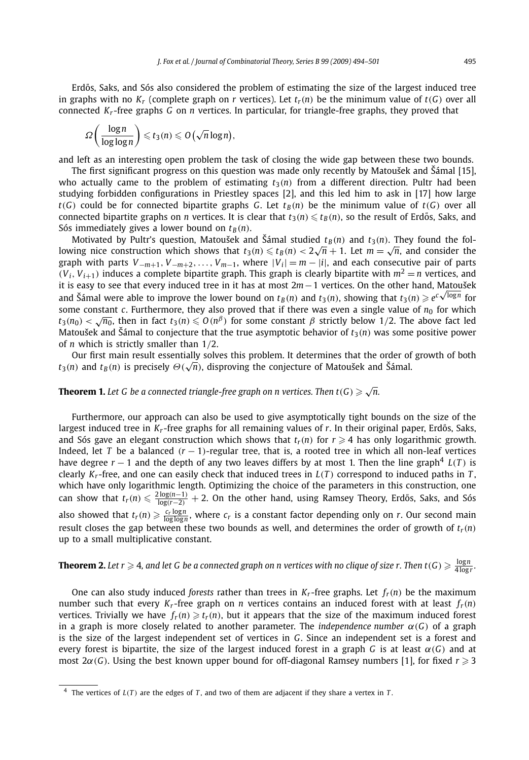Erdős, Saks, and Sós also considered the problem of estimating the size of the largest induced tree in graphs with no  $K_r$  (complete graph on *r* vertices). Let  $t_r(n)$  be the minimum value of  $t(G)$  over all connected *Kr* -free graphs *G* on *n* vertices. In particular, for triangle-free graphs, they proved that

$$
\Omega\bigg(\frac{\log n}{\log\log n}\bigg) \leqslant t_3(n) \leqslant O\big(\sqrt{n}\log n\big),
$$

and left as an interesting open problem the task of closing the wide gap between these two bounds.

The first significant progress on this question was made only recently by Matoušek and Šámal [15], who actually came to the problem of estimating  $t_3(n)$  from a different direction. Pultr had been studying forbidden configurations in Priestley spaces [2], and this led him to ask in [17] how large  $t(G)$  could be for connected bipartite graphs *G*. Let  $t_B(n)$  be the minimum value of  $t(G)$  over all connected bipartite graphs on *n* vertices. It is clear that  $t_3(n) \leqslant t_B(n)$ , so the result of Erdős, Saks, and Sós immediately gives a lower bound on  $t_B(n)$ .

Motivated by Pultr's question, Matoušek and Šámal studied  $t_B(n)$  and  $t_3(n)$ . They found the following nice construction which shows that  $t_3(n) \le t_B(n) < 2\sqrt{n} + 1$ . Let  $m = \sqrt{n}$ , and consider the graph with parts  $V_{-m+1}$ ,  $V_{-m+2}$ ,...,  $V_{m-1}$ , where  $|V_i| = m - |i|$ , and each consecutive pair of parts  $(V_i, V_{i+1})$  induces a complete bipartite graph. This graph is clearly bipartite with  $m^2 = n$  vertices, and it is easy to see that every induced tree in it has at most 2*m*−1 vertices. On the other hand, Matoušek it is easy to see that every induced tree in it has at most  $2m-1$  vertices. On the other hand, Matousek and Šámal were able to improve the lower bound on  $t_B(n)$  and  $t_3(n)$ , showing that  $t_3(n) \geqslant e^{c\sqrt{\log n}}$  for some constant *c*. Furthermore, they also proved that if there was even a single value of  $n_0$  for which  $t_3(n_0) < \sqrt{n_0}$ , then in fact  $t_3(n) \le O(n^\beta)$  for some constant *β* strictly below 1/2. The above fact led Matoušek and Šámal to conjecture that the true asymptotic behavior of  $t_3(n)$  was some positive power of *n* which is strictly smaller than 1*/*2.

Our first main result essentially solves this problem. It determines that the order of growth of both  $t_3(n)$  and  $t_B(n)$  is precisely  $\Theta(\sqrt{n})$ , disproving the conjecture of Matoušek and Šámal.

#### **Theorem 1.** Let G be a connected triangle-free graph on n vertices. Then  $t(G) \geq \sqrt{n}$ .

Furthermore, our approach can also be used to give asymptotically tight bounds on the size of the largest induced tree in  $K_r$ -free graphs for all remaining values of  $r$ . In their original paper, Erdős, Saks, and Sós gave an elegant construction which shows that  $t_r(n)$  for  $r \geq 4$  has only logarithmic growth. Indeed, let *T* be a balanced  $(r - 1)$ -regular tree, that is, a rooted tree in which all non-leaf vertices have degree  $r - 1$  and the depth of any two leaves differs by at most 1. Then the line graph<sup>4</sup>  $L(T)$  is clearly  $K_r$ -free, and one can easily check that induced trees in  $L(T)$  correspond to induced paths in  $T$ , which have only logarithmic length. Optimizing the choice of the parameters in this construction, one  $\text{can show that } t_r(n) \leqslant \frac{2\log(n-1)}{\log(r-2)} + 2.$  On the other hand, using Ramsey Theory, Erdős, Saks, and Sós also showed that  $t_r(n) \geqslant \frac{c_r \log n}{\log \log n}$ , where  $c_r$  is a constant factor depending only on *r*. Our second main result closes the gap between these two bounds as well, and determines the order of growth of *tr(n)* up to a small multiplicative constant.

**Theorem 2.** Let  $r\geqslant4$ , and let G be a connected graph on n vertices with no clique of size  $r$ . Then t $(G)\geqslant\frac{\log n}{4\log r}.$ 

One can also study induced *forests* rather than trees in  $K_r$ -free graphs. Let  $f_r(n)$  be the maximum number such that every  $K_r$ -free graph on *n* vertices contains an induced forest with at least  $f_r(n)$ vertices. Trivially we have  $f_r(n) \geq t_r(n)$ , but it appears that the size of the maximum induced forest in a graph is more closely related to another parameter. The *independence number α(G)* of a graph is the size of the largest independent set of vertices in *G*. Since an independent set is a forest and every forest is bipartite, the size of the largest induced forest in a graph *G* is at least  $\alpha(G)$  and at most  $2\alpha(G)$ . Using the best known upper bound for off-diagonal Ramsey numbers [1], for fixed  $r \geq 3$ 

<sup>4</sup> The vertices of *L(T )* are the edges of *T* , and two of them are adjacent if they share a vertex in *T* .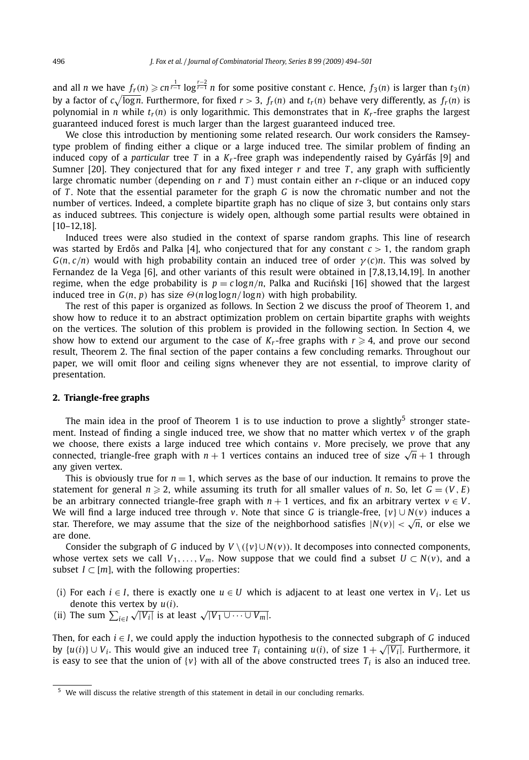and all  $n$  we have  $f_r(n)\geqslant cn^{\frac{1}{r-1}}\log^{\frac{r-2}{r-1}}n$  for some positive constant  $c.$  Hence,  $f_3(n)$  is larger than  $t_3(n)$ by a factor of  $c\sqrt{\log n}$ . Furthermore, for fixed  $r > 3$ ,  $f_r(n)$  and  $t_r(n)$  behave very differently, as  $f_r(n)$  is polynomial in *n* while  $t_r(n)$  is only logarithmic. This demonstrates that in  $K_r$ -free graphs the largest guaranteed induced forest is much larger than the largest guaranteed induced tree.

We close this introduction by mentioning some related research. Our work considers the Ramseytype problem of finding either a clique or a large induced tree. The similar problem of finding an induced copy of a *particular* tree *T* in a *Kr* -free graph was independently raised by Gyárfás [9] and Sumner [20]. They conjectured that for any fixed integer  $r$  and tree  $T$ , any graph with sufficiently large chromatic number (depending on *r* and *T* ) must contain either an *r*-clique or an induced copy of *T* . Note that the essential parameter for the graph *G* is now the chromatic number and not the number of vertices. Indeed, a complete bipartite graph has no clique of size 3, but contains only stars as induced subtrees. This conjecture is widely open, although some partial results were obtained in [10–12,18].

Induced trees were also studied in the context of sparse random graphs. This line of research was started by Erdős and Palka [4], who conjectured that for any constant  $c > 1$ , the random graph  $G(n, c/n)$  would with high probability contain an induced tree of order  $\gamma(c)n$ . This was solved by Fernandez de la Vega [6], and other variants of this result were obtained in [7,8,13,14,19]. In another regime, when the edge probability is  $p = c \log n/n$ , Palka and Rucinski [16] showed that the largest induced tree in  $G(n, p)$  has size  $\Theta(n \log \log n / \log n)$  with high probability.

The rest of this paper is organized as follows. In Section 2 we discuss the proof of Theorem 1, and show how to reduce it to an abstract optimization problem on certain bipartite graphs with weights on the vertices. The solution of this problem is provided in the following section. In Section 4, we show how to extend our argument to the case of  $K_r$ -free graphs with  $r \geq 4$ , and prove our second result, Theorem 2. The final section of the paper contains a few concluding remarks. Throughout our paper, we will omit floor and ceiling signs whenever they are not essential, to improve clarity of presentation.

#### **2. Triangle-free graphs**

The main idea in the proof of Theorem 1 is to use induction to prove a slightly<sup>5</sup> stronger statement. Instead of finding a single induced tree, we show that no matter which vertex *v* of the graph we choose, there exists a large induced tree which contains *v*. More precisely, we prove that any connected, triangle-free graph with  $n + 1$  vertices contains an induced tree of size  $\sqrt{n} + 1$  through any given vertex.

This is obviously true for  $n = 1$ , which serves as the base of our induction. It remains to prove the statement for general  $n \ge 2$ , while assuming its truth for all smaller values of *n*. So, let  $G = (V, E)$ be an arbitrary connected triangle-free graph with  $n + 1$  vertices, and fix an arbitrary vertex  $v \in V$ . We will find a large induced tree through *v*. Note that since *G* is triangle-free, {*v*} ∪ *N(v)* induces a star. Therefore, we may assume that the size of the neighborhood satisfies  $|N(v)| < \sqrt{n}$ , or else we are done.

Consider the subgraph of *G* induced by  $V \setminus (\{v\} \cup N(v))$ . It decomposes into connected components, whose vertex sets we call  $V_1, \ldots, V_m$ . Now suppose that we could find a subset  $U \subset N(v)$ , and a subset  $I \subset [m]$ , with the following properties:

- (i) For each  $i \in I$ , there is exactly one  $u \in U$  which is adjacent to at least one vertex in  $V_i$ . Let us denote this vertex by *u(i)*.
- (ii) The sum  $\sum_{i \in I} \sqrt{|V_i|}$  is at least  $\sqrt{|V_1 \cup \cdots \cup V_m|}$ .

Then, for each *i* ∈ *I*, we could apply the induction hypothesis to the connected subgraph of *G* induced by  $\{u(i)\} \cup V_i$ . This would give an induced tree  $T_i$  containing  $u(i)$ , of size  $1 + \sqrt{|V_i|}$ . Furthermore, it is easy to see that the union of  $\{v\}$  with all of the above constructed trees  $T_i$  is also an induced tree.

<sup>5</sup> We will discuss the relative strength of this statement in detail in our concluding remarks.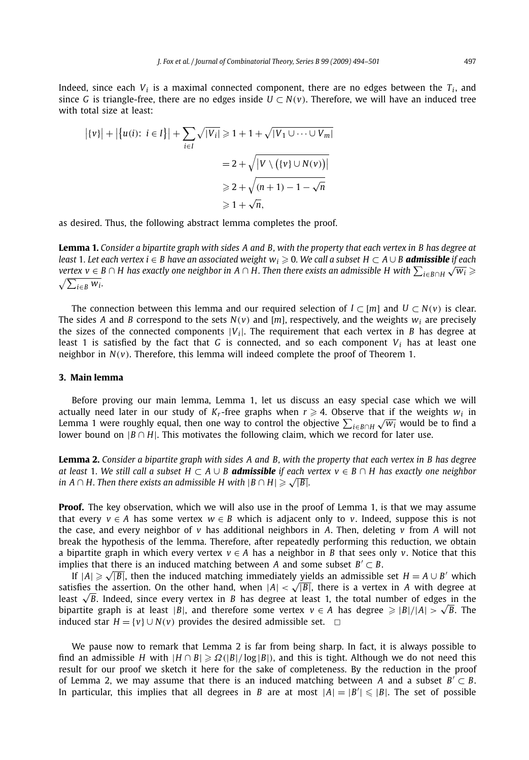Indeed, since each  $V_i$  is a maximal connected component, there are no edges between the  $T_i$ , and since *G* is triangle-free, there are no edges inside  $U \subset N(v)$ . Therefore, we will have an induced tree with total size at least:

$$
\left| \{v\} \right| + \left| \{u(i): i \in I\} \right| + \sum_{i \in I} \sqrt{|V_i|} \ge 1 + 1 + \sqrt{|V_1 \cup \dots \cup V_m|}
$$

$$
= 2 + \sqrt{|V \setminus ((v_i \cup N(v))|)}
$$

$$
\ge 2 + \sqrt{(n+1) - 1 - \sqrt{n}}
$$

$$
\ge 1 + \sqrt{n},
$$

as desired. Thus, the following abstract lemma completes the proof.

**Lemma 1.** *Consider a bipartite graph with sides A and B, with the property that each vertex in B has degree at least* 1*. Let each vertex i* ∈ *B* have an associated weight  $w_i \ge 0$ . We call a subset  $H \subset A ∪ B$  **admissible** if each *vertex v* ∈ *B* ∩ *H* has exactly one neighbor in *A* ∩ *H*. Then there exists an admissible H with  $\sum_{i \in B \cap H} \sqrt{w_i} \ge$  $\sqrt{\sum_{i\in B} w_i}$ .

The connection between this lemma and our required selection of  $I \subset [m]$  and  $U \subset N(v)$  is clear. The sides *A* and *B* correspond to the sets  $N(v)$  and [m], respectively, and the weights  $w_i$  are precisely the sizes of the connected components  $|V_i|$ . The requirement that each vertex in *B* has degree at least 1 is satisfied by the fact that *G* is connected, and so each component  $V_i$  has at least one neighbor in  $N(v)$ . Therefore, this lemma will indeed complete the proof of Theorem 1.

#### **3. Main lemma**

Before proving our main lemma, Lemma 1, let us discuss an easy special case which we will actually need later in our study of  $K_r$ -free graphs when  $r \geq 4$ . Observe that if the weights  $w_i$  in Lemma 1 were roughly equal, then one way to control the objective *i*∈*B*∩*H* <sup>√</sup>*wi* would be to find a lower bound on  $|B \cap H|$ . This motivates the following claim, which we record for later use.

**Lemma 2.** *Consider a bipartite graph with sides A and B, with the property that each vertex in B has degree at least* 1*. We still call a subset H* ⊂ *A* ∪ *B admissible if each vertex v* ∈ *B* ∩ *H has exactly one neighbor in A*  $\cap$  *H*. Then there exists an admissible *H* with  $|B \cap H| \ge \sqrt{|B|}$ .

**Proof.** The key observation, which we will also use in the proof of Lemma 1, is that we may assume that every  $v \in A$  has some vertex  $w \in B$  which is adjacent only to *v*. Indeed, suppose this is not the case, and every neighbor of *v* has additional neighbors in *A*. Then, deleting *v* from *A* will not break the hypothesis of the lemma. Therefore, after repeatedly performing this reduction, we obtain a bipartite graph in which every vertex *v* ∈ *A* has a neighbor in *B* that sees only *v*. Notice that this implies that there is an induced matching between *A* and some subset  $B' \subset B$ .

If  $|A| ≥ √ |B|$ , then the induced matching immediately yields an admissible set  $H = A ∪ B'$  which satisfies the assertion. On the other hand, when  $|A| < \sqrt{|B|}$ , there is a vertex in *A* with degree at least <sup>√</sup>*B*. Indeed, since every vertex in *<sup>B</sup>* has degree at least 1, the total number of edges in the bipartite graph is at least |*B*|, and therefore some vertex  $v \in A$  has degree  $\geq |B|/|A| > \sqrt{B}$ . The induced star  $H = \{v\} \cup N(v)$  provides the desired admissible set.  $□$ 

We pause now to remark that Lemma 2 is far from being sharp. In fact, it is always possible to find an admissible *H* with  $|H \cap B| \ge \Omega(|B|/\log|B|)$ , and this is tight. Although we do not need this result for our proof we sketch it here for the sake of completeness. By the reduction in the proof of Lemma 2, we may assume that there is an induced matching between *A* and a subset  $B' \subset B$ . In particular, this implies that all degrees in *B* are at most  $|A| = |B'| \leq |B|$ . The set of possible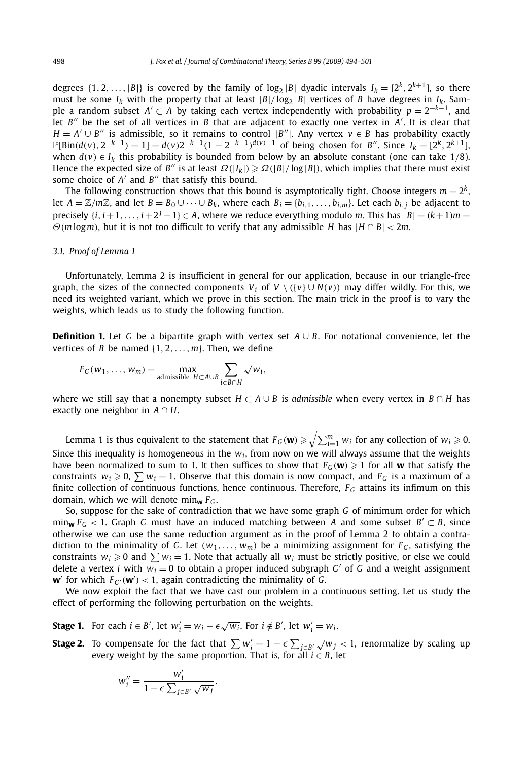degrees  $\{1, 2, ..., |B|\}$  is covered by the family of log<sub>2</sub> |B| dyadic intervals  $I_k = [2^k, 2^{k+1}]$ , so there must be some  $I_k$  with the property that at least  $|B|/\log_2 |B|$  vertices of *B* have degrees in  $I_k$ . Sample a random subset *A'* ⊂ *A* by taking each vertex independently with probability  $p = 2^{-k-1}$ , and let  $B''$  be the set of all vertices in  $B$  that are adjacent to exactly one vertex in  $A'$ . It is clear that *H* =  $A' \cup B''$  is admissible, so it remains to control  $|B''|$ . Any vertex  $v \in B$  has probability exactly  $\mathbb{P}[\text{Bin}(d(v), 2^{-k-1}) = 1] = d(v)2^{-k-1}(1 - 2^{-k-1})^{d(v)-1}$  of being chosen for B''. Since  $I_k = [2^k, 2^{k+1}]$ , when  $d(v) \in I_k$  this probability is bounded from below by an absolute constant (one can take 1/8). Hence the expected size of *B''* is at least  $\Omega(|I_k|) \ge \Omega(|B|/\log|B|)$ , which implies that there must exist some choice of *A'* and *B*<sup>*''*</sup> that satisfy this bound.

The following construction shows that this bound is asymptotically tight. Choose integers  $m = 2^k$ , let  $A = \mathbb{Z}/m\mathbb{Z}$ , and let  $B = B_0 \cup \cdots \cup B_k$ , where each  $B_i = \{b_{i,1}, \ldots, b_{i,m}\}$ . Let each  $b_{i,j}$  be adjacent to precisely  $\{i, i+1, \ldots, i+2^j-1\} \in A$ , where we reduce everything modulo *m*. This has  $|B| = (k+1)m$ *Θ(m* log*m)*, but it is not too difficult to verify that any admissible *H* has |*H* ∩ *B*| *<* 2*m*.

#### *3.1. Proof of Lemma 1*

Unfortunately, Lemma 2 is insufficient in general for our application, because in our triangle-free graph, the sizes of the connected components  $V_i$  of  $V \setminus (\{v\} \cup N(v))$  may differ wildly. For this, we need its weighted variant, which we prove in this section. The main trick in the proof is to vary the weights, which leads us to study the following function.

**Definition 1.** Let *G* be a bipartite graph with vertex set *A* ∪ *B*. For notational convenience, let the vertices of *B* be named {1*,* 2*,...,m*}. Then, we define

$$
F_G(w_1,\ldots,w_m)=\max_{\text{admissible }H\subset A\cup B}\sum_{i\in B\cap H}\sqrt{w_i},
$$

where we still say that a nonempty subset *H* ⊂ *A* ∪ *B* is *admissible* when every vertex in *B* ∩ *H* has exactly one neighbor in *A* ∩ *H*.

Lemma 1 is thus equivalent to the statement that  $F_G(\mathbf{w}) \geqslant \sqrt{\sum_{i=1}^m w_i}$  for any collection of  $w_i \geqslant 0.$ Since this inequality is homogeneous in the  $w_i$ , from now on we will always assume that the weights have been normalized to sum to 1. It then suffices to show that  $F_G(\mathbf{w}) \geq 1$  for all **w** that satisfy the constraints  $w_i \ge 0$ ,  $\sum w_i = 1$ . Observe that this domain is now compact, and  $F_G$  is a maximum of a finite collection of continuous functions, hence continuous. Therefore, *FG* attains its infimum on this domain, which we will denote min**<sup>w</sup>** *FG* .

So, suppose for the sake of contradiction that we have some graph *G* of minimum order for which  $\min_{\mathbf{w}} F_G$  < 1. Graph *G* must have an induced matching between *A* and some subset  $B' \subset B$ , since otherwise we can use the same reduction argument as in the proof of Lemma 2 to obtain a contradiction to the minimality of *G*. Let  $(w_1, \ldots, w_m)$  be a minimizing assignment for  $F_G$ , satisfying the constraints  $w_i \ge 0$  and  $\sum w_i = 1$ . Note that actually all  $w_i$  must be strictly positive, or else we could delete a vertex *i* with  $w_i = 0$  to obtain a proper induced subgraph *G'* of *G* and a weight assignment **w**<sup> $\prime$ </sup> for which  $F_{G'}(\mathbf{w}') < 1$ , again contradicting the minimality of *G*.

We now exploit the fact that we have cast our problem in a continuous setting. Let us study the effect of performing the following perturbation on the weights.

**Stage 1.** For each  $i \in B'$ , let  $w'_i = w_i - \epsilon \sqrt{w_i}$ . For  $i \notin B'$ , let  $w'_i = w_i$ .

*.*

**Stage 2.** To compensate for the fact that  $\sum w_i' = 1 - \epsilon \sum_{j \in B'} \sqrt{w_j} < 1$ , renormalize by scaling up every weight by the same proportion. That is, for all  $i \in B$ , let

$$
w_i'' = \frac{w_i'}{1 - \epsilon \sum_{j \in B'} \sqrt{w_j}}
$$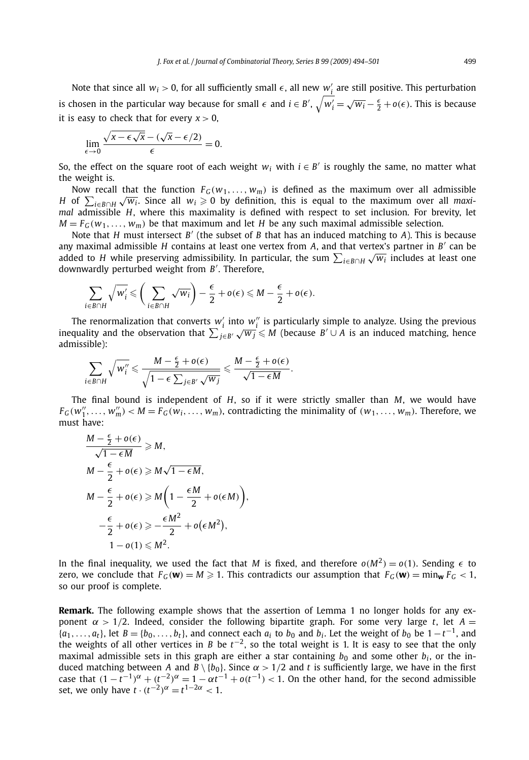Note that since all  $w_i > 0$ , for all sufficiently small  $\epsilon$ , all new  $w'_i$  are still positive. This perturbation is chosen in the particular way because for small  $\epsilon$  and  $i \in B'$ ,  $\sqrt{w'_i} = \sqrt{w_i} - \frac{\epsilon}{2} + o(\epsilon)$ . This is because it is easy to check that for every  $x > 0$ ,

$$
\lim_{\epsilon \to 0} \frac{\sqrt{x - \epsilon \sqrt{x}} - (\sqrt{x} - \epsilon/2)}{\epsilon} = 0.
$$

So, the effect on the square root of each weight  $w_i$  with  $i \in B'$  is roughly the same, no matter what the weight is.

Now recall that the function  $F_G(w_1, \ldots, w_m)$  is defined as the maximum over all admissible *H* of  $\sum_{i\in B\cap H} \sqrt{w_i}$ . Since all  $w_i \ge 0$  by definition, this is equal to the maximum over all *maxi- H* of  $\sum_{i\in B\cap H} \sqrt{w_i}$ . Since all  $w_i \ge 0$  by definition, this is equal to the maximum over all *maximal* admissible *H*, where this maximality is defined with respect to set inclusion. For brevity, let  $M = F_G(w_1, \ldots, w_m)$  be that maximum and let *H* be any such maximal admissible selection.

Note that *H* must intersect *B'* (the subset of *B* that has an induced matching to *A*). This is because any maximal admissible *H* contains at least one vertex from  $A$ , and that vertex's partner in  $B'$  can be added to *H* while preserving admissibility. In particular, the sum  $\sum_{i\in B\cap H}\sqrt{w_i}$  includes at least one added to *H* while preserving admissibility. In particular, the sum  $\sum_{i\in B\cap H}\sqrt{w_i}$  includes at least one downwardly perturbed weight from *B* . Therefore,

$$
\sum_{i\in B\cap H}\sqrt{w_i'}\leqslant \bigg(\sum_{i\in B\cap H}\sqrt{w_i}\bigg)-\frac{\epsilon}{2}+o(\epsilon)\leqslant M-\frac{\epsilon}{2}+o(\epsilon).
$$

The renormalization that converts  $w'_i$  into  $w''_i$  is particularly simple to analyze. Using the previous *i*nce renormalization that converts  $w_i$  into  $w_i$  is particularly simple to analyze. Osing the previous inequality and the observation that  $\sum_{j \in B'} \sqrt{w_j} \le M$  (because *B'* ∪ *A* is an induced matching, hence admissible):

$$
\sum_{i\in B\cap H}\sqrt{w_i''}\leqslant \frac{M-\frac{\epsilon}{2}+o(\epsilon)}{\sqrt{1-\epsilon\sum_{j\in B'}\sqrt{w_j}}}\leqslant \frac{M-\frac{\epsilon}{2}+o(\epsilon)}{\sqrt{1-\epsilon M}}.
$$

The final bound is independent of *H*, so if it were strictly smaller than *M*, we would have  $F_G(w_1'', \ldots, w_m'') < M = F_G(w_i, \ldots, w_m)$ , contradicting the minimality of  $(w_1, \ldots, w_m)$ . Therefore, we must have:

$$
\frac{M - \frac{\epsilon}{2} + o(\epsilon)}{\sqrt{1 - \epsilon M}} \ge M,
$$
  
\n
$$
M - \frac{\epsilon}{2} + o(\epsilon) \ge M\sqrt{1 - \epsilon M},
$$
  
\n
$$
M - \frac{\epsilon}{2} + o(\epsilon) \ge M\left(1 - \frac{\epsilon M}{2} + o(\epsilon M)\right),
$$
  
\n
$$
-\frac{\epsilon}{2} + o(\epsilon) \ge -\frac{\epsilon M^2}{2} + o(\epsilon M^2),
$$
  
\n
$$
1 - o(1) \le M^2.
$$

In the final inequality, we used the fact that *M* is fixed, and therefore  $o(M^2) = o(1)$ . Sending  $\epsilon$  to zero, we conclude that  $F_G(\mathbf{w}) = M \ge 1$ . This contradicts our assumption that  $F_G(\mathbf{w}) = \min_{\mathbf{w}} F_G < 1$ . so our proof is complete.

**Remark.** The following example shows that the assertion of Lemma 1 no longer holds for any exponent  $α$  > 1/2. Indeed, consider the following bipartite graph. For some very large *t*, let  $A =$  ${a_1, \ldots, a_t}$ , let  $B = \{b_0, \ldots, b_t\}$ , and connect each  $a_i$  to  $b_0$  and  $b_i$ . Let the weight of  $b_0$  be  $1 - t^{-1}$ , and the weights of all other vertices in *B* be *t*<sup>−</sup>2, so the total weight is 1. It is easy to see that the only maximal admissible sets in this graph are either a star containing  $b_0$  and some other  $b_i$ , or the induced matching between *A* and  $B \setminus \{b_0\}$ . Since  $\alpha > 1/2$  and *t* is sufficiently large, we have in the first case that  $(1 - t^{-1})^{\alpha} + (t^{-2})^{\alpha} = 1 - \alpha t^{-1} + o(t^{-1}) < 1$ . On the other hand, for the second admissible set, we only have  $t \cdot (t^{-2})^{\alpha} = t^{1-2\alpha} < 1$ .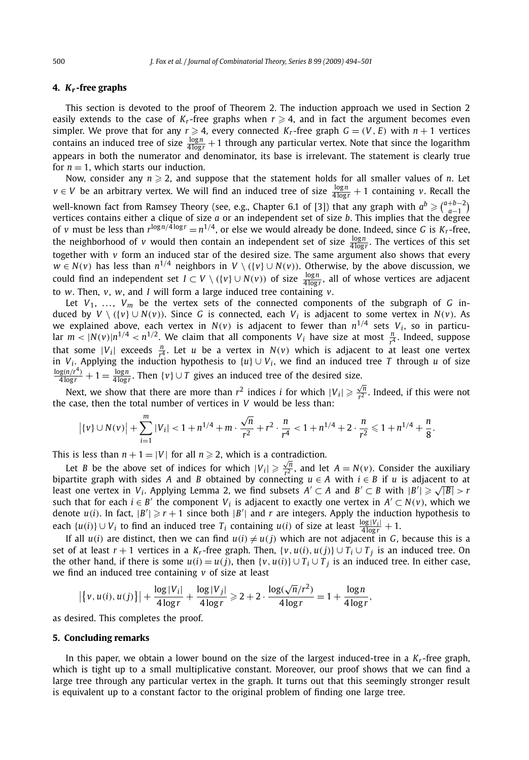#### **4.** *Kr* **-free graphs**

This section is devoted to the proof of Theorem 2. The induction approach we used in Section 2 easily extends to the case of  $K_r$ -free graphs when  $r \geq 4$ , and in fact the argument becomes even simpler. We prove that for any  $r \ge 4$ , every connected  $K_r$ -free graph  $G = (V, E)$  with  $n + 1$  vertices contains an induced tree of size  $\frac{\log n}{4 \log r} + 1$  through any particular vertex. Note that since the logarithm appears in both the numerator and denominator, its base is irrelevant. The statement is clearly true for  $n = 1$ , which starts our induction.

Now, consider any  $n \geq 2$ , and suppose that the statement holds for all smaller values of *n*. Let  $v \in V$  be an arbitrary vertex. We will find an induced tree of size  $\frac{\log n}{4 \log r} + 1$  containing *v*. Recall the well-known fact from Ramsey Theory (see, e.g., Chapter 6.1 of [3]) that any graph with  $a^b \geqslant \binom{a+b-2}{a-1}$ vertices contains either a clique of size *a* or an independent set of size *b*. This implies that the degree of *v* must be less than  $r^{\log n/4 \log r} = n^{1/4}$ , or else we would already be done. Indeed, since *G* is  $K_r$ -free, the neighborhood of *v* would then contain an independent set of size  $\frac{\log n}{4 \log r}$ . The vertices of this set together with *v* form an induced star of the desired size. The same argument also shows that every *w* ∈ *N*(*v*) has less than  $n^{1/4}$  neighbors in *V* \ ({*v*} ∪ *N*(*v*)). Otherwise, by the above discussion, we could find an independent set  $I \subset V \setminus (\{v\} \cup N(v))$  of size  $\frac{\log n}{4 \log r}$ , all of whose vertices are adjacent to *w*. Then, *v*, *w*, and *I* will form a large induced tree containing *v*.

Let  $V_1$ , ...,  $V_m$  be the vertex sets of the connected components of the subgraph of *G* induced by *V*  $\setminus$  ( $\setminus$   $\setminus$   $\setminus$   $\setminus$   $\setminus$   $\setminus$   $\setminus$   $\setminus$   $\setminus$   $\setminus$   $\setminus$   $\setminus$   $\setminus$   $\setminus$   $\setminus$   $\setminus$   $\setminus$   $\setminus$   $\setminus$   $\setminus$   $\setminus$   $\setminus$   $\setminus$   $\setminus$   $\setminus$   $\setminus$   $\setminus$   $\setminus$   $\setminus$   $\setminus$   $\setminus$   $\setminus$   $\setminus$   $\$ we explained above, each vertex in  $N(v)$  is adjacent to fewer than  $n^{1/4}$  sets  $V_i$ , so in particular  $m < |N(v)|n^{1/4} < n^{1/2}$ . We claim that all components  $V_i$  have size at most  $\frac{n}{r^4}$ . Indeed, suppose that some  $|V_i|$  exceeds  $\frac{n}{r^4}$ . Let *u* be a vertex in  $N(v)$  which is adjacent to at least one vertex in *V<sub>i</sub>*. Applying the induction hypothesis to {*u*}  $\cup$  *V<sub>i</sub>*, we find an induced tree *T* through *u* of size  $\frac{\log(n/r^4)}{4\log r} + 1 = \frac{\log n}{4\log r}$ . Then  $\{v\} \cup T$  gives an induced tree of the desired size.

Next, we show that there are more than  $r^2$  indices *i* for which  $|V_i| \geq \frac{\sqrt{n}}{r^2}$  $\frac{\sqrt{n}}{r^2}$ . Indeed, if this were not the case, then the total number of vertices in *V* would be less than:

$$
|\{v\} \cup N(v)| + \sum_{i=1}^{m} |V_i| < 1 + n^{1/4} + m \cdot \frac{\sqrt{n}}{r^2} + r^2 \cdot \frac{n}{r^4} < 1 + n^{1/4} + 2 \cdot \frac{n}{r^2} \le 1 + n^{1/4} + \frac{n}{8}.
$$

This is less than  $n + 1 = |V|$  for all  $n \ge 2$ , which is a contradiction.

Let *B* be the above set of indices for which  $|V_i| \ge \frac{\sqrt{n}}{r^2}$ , and let  $A = N(v)$ . Consider the auxiliary bipartite graph with sides *A* and *B* obtained by connecting  $u \in A$  with  $i \in B$  if *u* is adjacent to at Dipartite graph with sides *A* and *B* obtained by connecting  $u \in A$  with  $t \in B$  if  $u$  is adjacent to at least one vertex in  $V_i$ . Applying Lemma 2, we find subsets  $A' \subset A$  and  $B' \subset B$  with  $|B'| \geq \sqrt{|B|} > r$ such that for each  $i \in B'$  the component  $V_i$  is adjacent to exactly one vertex in  $A' \subset N(v)$ , which we denote  $u(i)$ . In fact,  $|B'| \ge r + 1$  since both  $|B'|$  and  $r$  are integers. Apply the induction hypothesis to each  $\{u(i)\}\cup V_i$  to find an induced tree  $T_i$  containing  $u(i)$  of size at least  $\frac{\log |V_i|}{4\log r}+1$ .

If all  $u(i)$  are distinct, then we can find  $u(i) \neq u(j)$  which are not adjacent in *G*, because this is a set of at least  $r + 1$  vertices in a  $K_r$ -free graph. Then,  $\{v, u(i), u(j)\} \cup T_i \cup T_j$  is an induced tree. On the other hand, if there is some  $u(i) = u(j)$ , then  $\{v, u(i)\} \cup T_i \cup T_j$  is an induced tree. In either case, we find an induced tree containing *v* of size at least

$$
\left| \left\{ v, u(i), u(j) \right\} \right| + \frac{\log |V_i|}{4 \log r} + \frac{\log |V_j|}{4 \log r} \ge 2 + 2 \cdot \frac{\log(\sqrt{n}/r^2)}{4 \log r} = 1 + \frac{\log n}{4 \log r},
$$

as desired. This completes the proof.

#### **5. Concluding remarks**

In this paper, we obtain a lower bound on the size of the largest induced-tree in a  $K_r$ -free graph, which is tight up to a small multiplicative constant. Moreover, our proof shows that we can find a large tree through any particular vertex in the graph. It turns out that this seemingly stronger result is equivalent up to a constant factor to the original problem of finding one large tree.